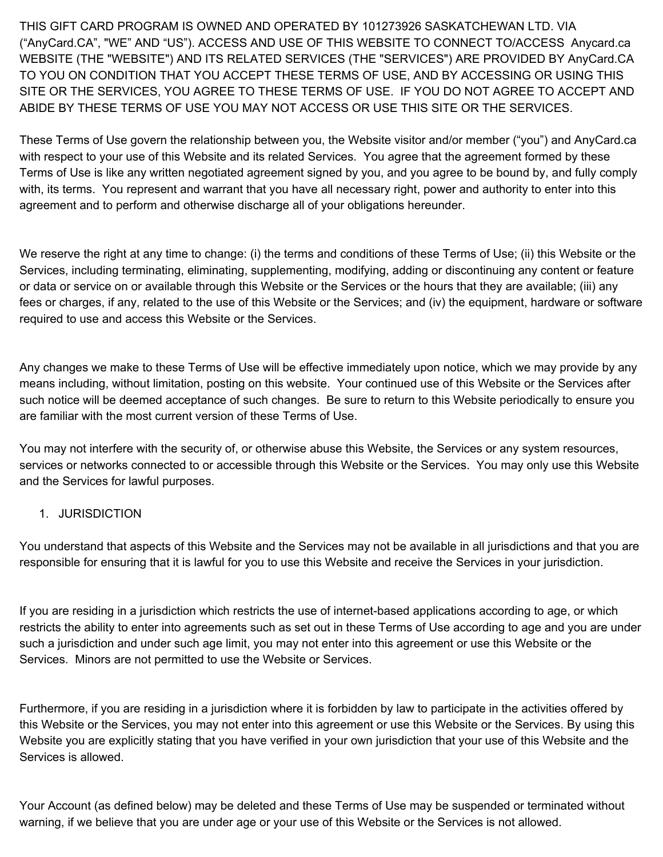THIS GIFT CARD PROGRAM IS OWNED AND OPERATED BY 101273926 SASKATCHEWAN LTD. VIA ("AnyCard.CA", "WE" AND "US"). ACCESS AND USE OF THIS WEBSITE TO CONNECT TO/ACCESS Anycard.ca WEBSITE (THE "WEBSITE") AND ITS RELATED SERVICES (THE "SERVICES") ARE PROVIDED BY AnyCard.CA TO YOU ON CONDITION THAT YOU ACCEPT THESE TERMS OF USE, AND BY ACCESSING OR USING THIS SITE OR THE SERVICES, YOU AGREE TO THESE TERMS OF USE. IF YOU DO NOT AGREE TO ACCEPT AND ABIDE BY THESE TERMS OF USE YOU MAY NOT ACCESS OR USE THIS SITE OR THE SERVICES.

These Terms of Use govern the relationship between you, the Website visitor and/or member ("you") and AnyCard.ca with respect to your use of this Website and its related Services. You agree that the agreement formed by these Terms of Use is like any written negotiated agreement signed by you, and you agree to be bound by, and fully comply with, its terms. You represent and warrant that you have all necessary right, power and authority to enter into this agreement and to perform and otherwise discharge all of your obligations hereunder.

We reserve the right at any time to change: (i) the terms and conditions of these Terms of Use; (ii) this Website or the Services, including terminating, eliminating, supplementing, modifying, adding or discontinuing any content or feature or data or service on or available through this Website or the Services or the hours that they are available; (iii) any fees or charges, if any, related to the use of this Website or the Services; and (iv) the equipment, hardware or software required to use and access this Website or the Services.

Any changes we make to these Terms of Use will be effective immediately upon notice, which we may provide by any means including, without limitation, posting on this website. Your continued use of this Website or the Services after such notice will be deemed acceptance of such changes. Be sure to return to this Website periodically to ensure you are familiar with the most current version of these Terms of Use.

You may not interfere with the security of, or otherwise abuse this Website, the Services or any system resources, services or networks connected to or accessible through this Website or the Services. You may only use this Website and the Services for lawful purposes.

1. JURISDICTION

You understand that aspects of this Website and the Services may not be available in all jurisdictions and that you are responsible for ensuring that it is lawful for you to use this Website and receive the Services in your jurisdiction.

If you are residing in a jurisdiction which restricts the use of internet-based applications according to age, or which restricts the ability to enter into agreements such as set out in these Terms of Use according to age and you are under such a jurisdiction and under such age limit, you may not enter into this agreement or use this Website or the Services. Minors are not permitted to use the Website or Services.

Furthermore, if you are residing in a jurisdiction where it is forbidden by law to participate in the activities offered by this Website or the Services, you may not enter into this agreement or use this Website or the Services. By using this Website you are explicitly stating that you have verified in your own jurisdiction that your use of this Website and the Services is allowed.

Your Account (as defined below) may be deleted and these Terms of Use may be suspended or terminated without warning, if we believe that you are under age or your use of this Website or the Services is not allowed.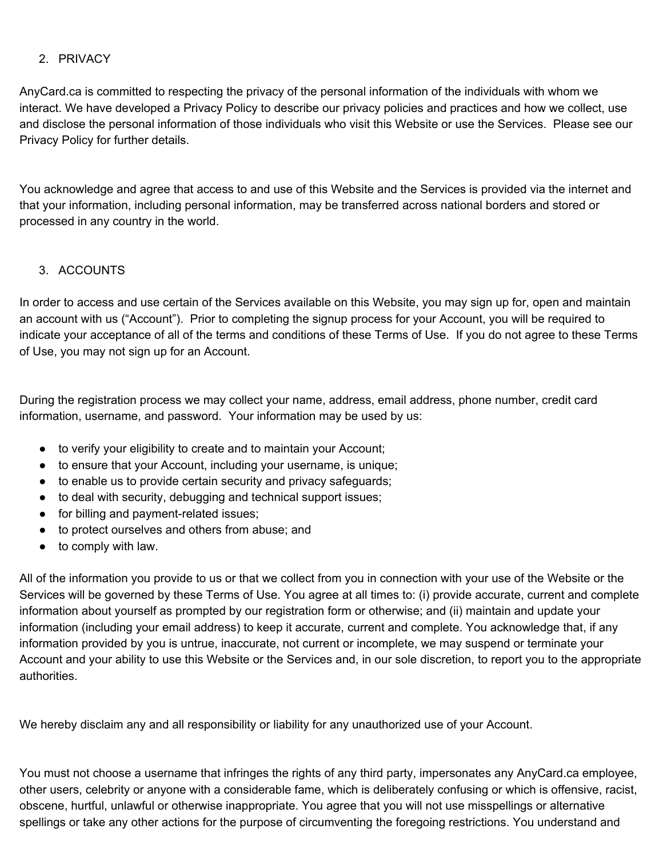# 2. PRIVACY

AnyCard.ca is committed to respecting the privacy of the personal information of the individuals with whom we interact. We have developed a Privacy Policy to describe our privacy policies and practices and how we collect, use and disclose the personal information of those individuals who visit this Website or use the Services. Please see our Privacy Policy for further details.

You acknowledge and agree that access to and use of this Website and the Services is provided via the internet and that your information, including personal information, may be transferred across national borders and stored or processed in any country in the world.

# 3. ACCOUNTS

In order to access and use certain of the Services available on this Website, you may sign up for, open and maintain an account with us ("Account"). Prior to completing the signup process for your Account, you will be required to indicate your acceptance of all of the terms and conditions of these Terms of Use. If you do not agree to these Terms of Use, you may not sign up for an Account.

During the registration process we may collect your name, address, email address, phone number, credit card information, username, and password. Your information may be used by us:

- to verify your eligibility to create and to maintain your Account;
- to ensure that your Account, including your username, is unique;
- to enable us to provide certain security and privacy safeguards;
- to deal with security, debugging and technical support issues;
- for billing and payment-related issues;
- to protect ourselves and others from abuse; and
- to comply with law.

All of the information you provide to us or that we collect from you in connection with your use of the Website or the Services will be governed by these Terms of Use. You agree at all times to: (i) provide accurate, current and complete information about yourself as prompted by our registration form or otherwise; and (ii) maintain and update your information (including your email address) to keep it accurate, current and complete. You acknowledge that, if any information provided by you is untrue, inaccurate, not current or incomplete, we may suspend or terminate your Account and your ability to use this Website or the Services and, in our sole discretion, to report you to the appropriate authorities.

We hereby disclaim any and all responsibility or liability for any unauthorized use of your Account.

You must not choose a username that infringes the rights of any third party, impersonates any AnyCard.ca employee, other users, celebrity or anyone with a considerable fame, which is deliberately confusing or which is offensive, racist, obscene, hurtful, unlawful or otherwise inappropriate. You agree that you will not use misspellings or alternative spellings or take any other actions for the purpose of circumventing the foregoing restrictions. You understand and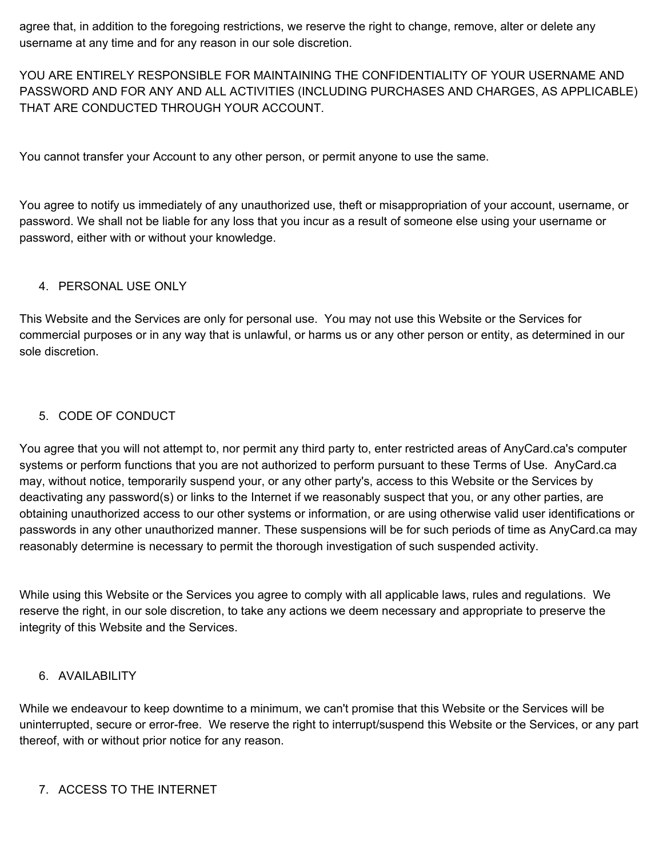agree that, in addition to the foregoing restrictions, we reserve the right to change, remove, alter or delete any username at any time and for any reason in our sole discretion.

YOU ARE ENTIRELY RESPONSIBLE FOR MAINTAINING THE CONFIDENTIALITY OF YOUR USERNAME AND PASSWORD AND FOR ANY AND ALL ACTIVITIES (INCLUDING PURCHASES AND CHARGES, AS APPLICABLE) THAT ARE CONDUCTED THROUGH YOUR ACCOUNT.

You cannot transfer your Account to any other person, or permit anyone to use the same.

You agree to notify us immediately of any unauthorized use, theft or misappropriation of your account, username, or password. We shall not be liable for any loss that you incur as a result of someone else using your username or password, either with or without your knowledge.

# 4. PERSONAL USE ONLY

This Website and the Services are only for personal use. You may not use this Website or the Services for commercial purposes or in any way that is unlawful, or harms us or any other person or entity, as determined in our sole discretion.

## 5. CODE OF CONDUCT

You agree that you will not attempt to, nor permit any third party to, enter restricted areas of AnyCard.ca's computer systems or perform functions that you are not authorized to perform pursuant to these Terms of Use. AnyCard.ca may, without notice, temporarily suspend your, or any other party's, access to this Website or the Services by deactivating any password(s) or links to the Internet if we reasonably suspect that you, or any other parties, are obtaining unauthorized access to our other systems or information, or are using otherwise valid user identifications or passwords in any other unauthorized manner. These suspensions will be for such periods of time as AnyCard.ca may reasonably determine is necessary to permit the thorough investigation of such suspended activity.

While using this Website or the Services you agree to comply with all applicable laws, rules and regulations. We reserve the right, in our sole discretion, to take any actions we deem necessary and appropriate to preserve the integrity of this Website and the Services.

# 6. AVAILABILITY

While we endeavour to keep downtime to a minimum, we can't promise that this Website or the Services will be uninterrupted, secure or error-free. We reserve the right to interrupt/suspend this Website or the Services, or any part thereof, with or without prior notice for any reason.

### 7. ACCESS TO THE INTERNET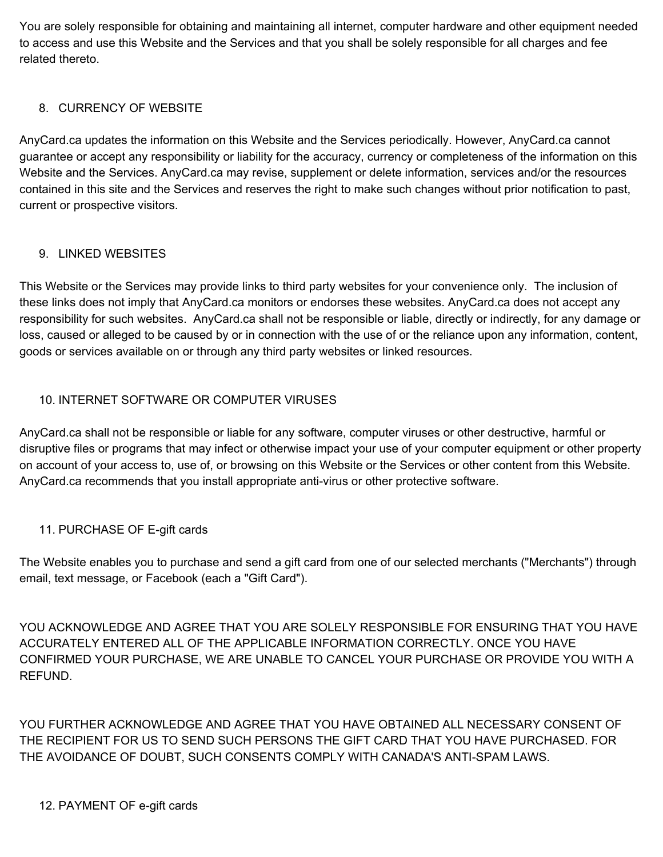You are solely responsible for obtaining and maintaining all internet, computer hardware and other equipment needed to access and use this Website and the Services and that you shall be solely responsible for all charges and fee related thereto.

# 8. CURRENCY OF WEBSITE

AnyCard.ca updates the information on this Website and the Services periodically. However, AnyCard.ca cannot guarantee or accept any responsibility or liability for the accuracy, currency or completeness of the information on this Website and the Services. AnyCard.ca may revise, supplement or delete information, services and/or the resources contained in this site and the Services and reserves the right to make such changes without prior notification to past, current or prospective visitors.

# 9. LINKED WEBSITES

This Website or the Services may provide links to third party websites for your convenience only. The inclusion of these links does not imply that AnyCard.ca monitors or endorses these websites. AnyCard.ca does not accept any responsibility for such websites. AnyCard.ca shall not be responsible or liable, directly or indirectly, for any damage or loss, caused or alleged to be caused by or in connection with the use of or the reliance upon any information, content, goods or services available on or through any third party websites or linked resources.

# 10. INTERNET SOFTWARE OR COMPUTER VIRUSES

AnyCard.ca shall not be responsible or liable for any software, computer viruses or other destructive, harmful or disruptive files or programs that may infect or otherwise impact your use of your computer equipment or other property on account of your access to, use of, or browsing on this Website or the Services or other content from this Website. AnyCard.ca recommends that you install appropriate anti-virus or other protective software.

# 11. PURCHASE OF E-gift cards

The Website enables you to purchase and send a gift card from one of our selected merchants ("Merchants") through email, text message, or Facebook (each a "Gift Card").

YOU ACKNOWLEDGE AND AGREE THAT YOU ARE SOLELY RESPONSIBLE FOR ENSURING THAT YOU HAVE ACCURATELY ENTERED ALL OF THE APPLICABLE INFORMATION CORRECTLY. ONCE YOU HAVE CONFIRMED YOUR PURCHASE, WE ARE UNABLE TO CANCEL YOUR PURCHASE OR PROVIDE YOU WITH A REFUND.

YOU FURTHER ACKNOWLEDGE AND AGREE THAT YOU HAVE OBTAINED ALL NECESSARY CONSENT OF THE RECIPIENT FOR US TO SEND SUCH PERSONS THE GIFT CARD THAT YOU HAVE PURCHASED. FOR THE AVOIDANCE OF DOUBT, SUCH CONSENTS COMPLY WITH CANADA'S ANTI-SPAM LAWS.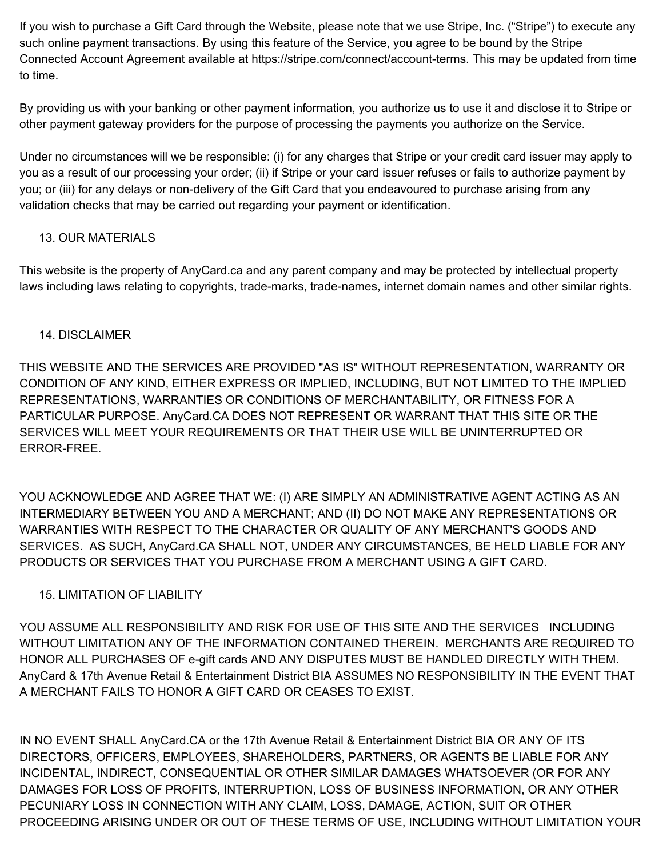If you wish to purchase a Gift Card through the Website, please note that we use Stripe, Inc. ("Stripe") to execute any such online payment transactions. By using this feature of the Service, you agree to be bound by the Stripe Connected Account Agreement available at https://stripe.com/connect/account-terms. This may be updated from time to time.

By providing us with your banking or other payment information, you authorize us to use it and disclose it to Stripe or other payment gateway providers for the purpose of processing the payments you authorize on the Service.

Under no circumstances will we be responsible: (i) for any charges that Stripe or your credit card issuer may apply to you as a result of our processing your order; (ii) if Stripe or your card issuer refuses or fails to authorize payment by you; or (iii) for any delays or non-delivery of the Gift Card that you endeavoured to purchase arising from any validation checks that may be carried out regarding your payment or identification.

# 13. OUR MATERIALS

This website is the property of AnyCard.ca and any parent company and may be protected by intellectual property laws including laws relating to copyrights, trade-marks, trade-names, internet domain names and other similar rights.

# 14. DISCLAIMER

THIS WEBSITE AND THE SERVICES ARE PROVIDED "AS IS" WITHOUT REPRESENTATION, WARRANTY OR CONDITION OF ANY KIND, EITHER EXPRESS OR IMPLIED, INCLUDING, BUT NOT LIMITED TO THE IMPLIED REPRESENTATIONS, WARRANTIES OR CONDITIONS OF MERCHANTABILITY, OR FITNESS FOR A PARTICULAR PURPOSE. AnyCard.CA DOES NOT REPRESENT OR WARRANT THAT THIS SITE OR THE SERVICES WILL MEET YOUR REQUIREMENTS OR THAT THEIR USE WILL BE UNINTERRUPTED OR ERROR-FREE.

YOU ACKNOWLEDGE AND AGREE THAT WE: (I) ARE SIMPLY AN ADMINISTRATIVE AGENT ACTING AS AN INTERMEDIARY BETWEEN YOU AND A MERCHANT; AND (II) DO NOT MAKE ANY REPRESENTATIONS OR WARRANTIES WITH RESPECT TO THE CHARACTER OR QUALITY OF ANY MERCHANT'S GOODS AND SERVICES. AS SUCH, AnyCard.CA SHALL NOT, UNDER ANY CIRCUMSTANCES, BE HELD LIABLE FOR ANY PRODUCTS OR SERVICES THAT YOU PURCHASE FROM A MERCHANT USING A GIFT CARD.

# 15. LIMITATION OF LIABILITY

YOU ASSUME ALL RESPONSIBILITY AND RISK FOR USE OF THIS SITE AND THE SERVICES INCLUDING WITHOUT LIMITATION ANY OF THE INFORMATION CONTAINED THEREIN. MERCHANTS ARE REQUIRED TO HONOR ALL PURCHASES OF e-gift cards AND ANY DISPUTES MUST BE HANDLED DIRECTLY WITH THEM. AnyCard & 17th Avenue Retail & Entertainment District BIA ASSUMES NO RESPONSIBILITY IN THE EVENT THAT A MERCHANT FAILS TO HONOR A GIFT CARD OR CEASES TO EXIST.

IN NO EVENT SHALL AnyCard.CA or the 17th Avenue Retail & Entertainment District BIA OR ANY OF ITS DIRECTORS, OFFICERS, EMPLOYEES, SHAREHOLDERS, PARTNERS, OR AGENTS BE LIABLE FOR ANY INCIDENTAL, INDIRECT, CONSEQUENTIAL OR OTHER SIMILAR DAMAGES WHATSOEVER (OR FOR ANY DAMAGES FOR LOSS OF PROFITS, INTERRUPTION, LOSS OF BUSINESS INFORMATION, OR ANY OTHER PECUNIARY LOSS IN CONNECTION WITH ANY CLAIM, LOSS, DAMAGE, ACTION, SUIT OR OTHER PROCEEDING ARISING UNDER OR OUT OF THESE TERMS OF USE, INCLUDING WITHOUT LIMITATION YOUR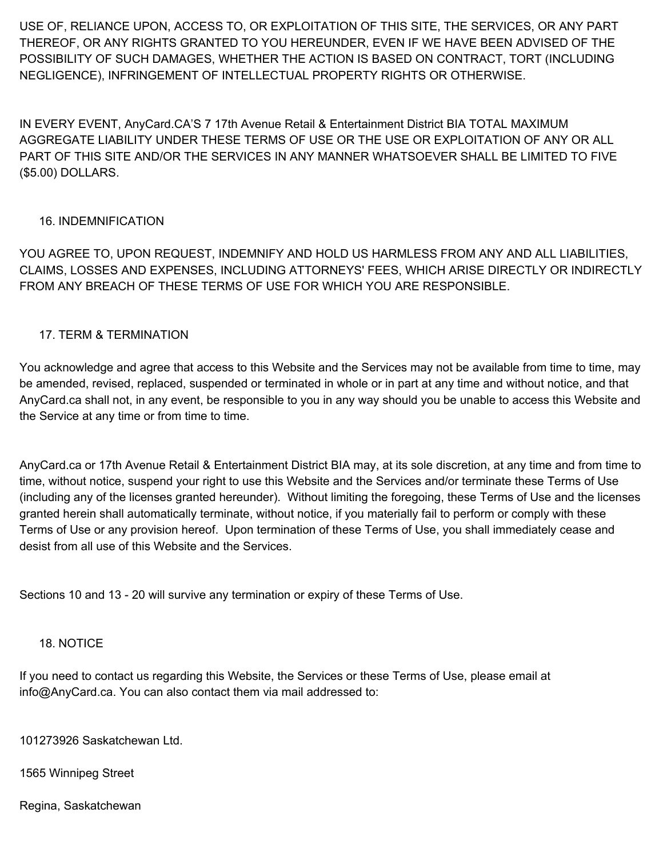USE OF, RELIANCE UPON, ACCESS TO, OR EXPLOITATION OF THIS SITE, THE SERVICES, OR ANY PART THEREOF, OR ANY RIGHTS GRANTED TO YOU HEREUNDER, EVEN IF WE HAVE BEEN ADVISED OF THE POSSIBILITY OF SUCH DAMAGES, WHETHER THE ACTION IS BASED ON CONTRACT, TORT (INCLUDING NEGLIGENCE), INFRINGEMENT OF INTELLECTUAL PROPERTY RIGHTS OR OTHERWISE.

IN EVERY EVENT, AnyCard.CA'S 7 17th Avenue Retail & Entertainment District BIA TOTAL MAXIMUM AGGREGATE LIABILITY UNDER THESE TERMS OF USE OR THE USE OR EXPLOITATION OF ANY OR ALL PART OF THIS SITE AND/OR THE SERVICES IN ANY MANNER WHATSOEVER SHALL BE LIMITED TO FIVE (\$5.00) DOLLARS.

# 16. INDEMNIFICATION

YOU AGREE TO, UPON REQUEST, INDEMNIFY AND HOLD US HARMLESS FROM ANY AND ALL LIABILITIES, CLAIMS, LOSSES AND EXPENSES, INCLUDING ATTORNEYS' FEES, WHICH ARISE DIRECTLY OR INDIRECTLY FROM ANY BREACH OF THESE TERMS OF USE FOR WHICH YOU ARE RESPONSIBLE.

### 17. TERM & TERMINATION

You acknowledge and agree that access to this Website and the Services may not be available from time to time, may be amended, revised, replaced, suspended or terminated in whole or in part at any time and without notice, and that AnyCard.ca shall not, in any event, be responsible to you in any way should you be unable to access this Website and the Service at any time or from time to time.

AnyCard.ca or 17th Avenue Retail & Entertainment District BIA may, at its sole discretion, at any time and from time to time, without notice, suspend your right to use this Website and the Services and/or terminate these Terms of Use (including any of the licenses granted hereunder). Without limiting the foregoing, these Terms of Use and the licenses granted herein shall automatically terminate, without notice, if you materially fail to perform or comply with these Terms of Use or any provision hereof. Upon termination of these Terms of Use, you shall immediately cease and desist from all use of this Website and the Services.

Sections 10 and 13 - 20 will survive any termination or expiry of these Terms of Use.

### 18. NOTICE

If you need to contact us regarding this Website, the Services or these Terms of Use, please email at info@AnyCard.ca. You can also contact them via mail addressed to:

101273926 Saskatchewan Ltd.

1565 Winnipeg Street

Regina, Saskatchewan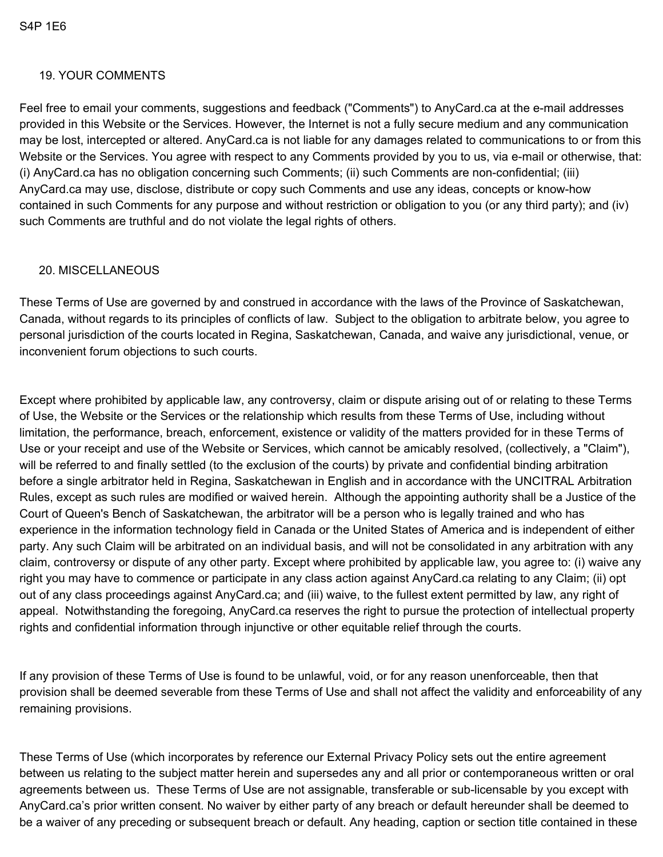### 19. YOUR COMMENTS

Feel free to email your comments, suggestions and feedback ("Comments") to AnyCard.ca at the e-mail addresses provided in this Website or the Services. However, the Internet is not a fully secure medium and any communication may be lost, intercepted or altered. AnyCard.ca is not liable for any damages related to communications to or from this Website or the Services. You agree with respect to any Comments provided by you to us, via e-mail or otherwise, that: (i) AnyCard.ca has no obligation concerning such Comments; (ii) such Comments are non-confidential; (iii) AnyCard.ca may use, disclose, distribute or copy such Comments and use any ideas, concepts or know-how contained in such Comments for any purpose and without restriction or obligation to you (or any third party); and (iv) such Comments are truthful and do not violate the legal rights of others.

### 20. MISCELLANEOUS

These Terms of Use are governed by and construed in accordance with the laws of the Province of Saskatchewan, Canada, without regards to its principles of conflicts of law. Subject to the obligation to arbitrate below, you agree to personal jurisdiction of the courts located in Regina, Saskatchewan, Canada, and waive any jurisdictional, venue, or inconvenient forum objections to such courts.

Except where prohibited by applicable law, any controversy, claim or dispute arising out of or relating to these Terms of Use, the Website or the Services or the relationship which results from these Terms of Use, including without limitation, the performance, breach, enforcement, existence or validity of the matters provided for in these Terms of Use or your receipt and use of the Website or Services, which cannot be amicably resolved, (collectively, a "Claim"), will be referred to and finally settled (to the exclusion of the courts) by private and confidential binding arbitration before a single arbitrator held in Regina, Saskatchewan in English and in accordance with the UNCITRAL Arbitration Rules, except as such rules are modified or waived herein. Although the appointing authority shall be a Justice of the Court of Queen's Bench of Saskatchewan, the arbitrator will be a person who is legally trained and who has experience in the information technology field in Canada or the United States of America and is independent of either party. Any such Claim will be arbitrated on an individual basis, and will not be consolidated in any arbitration with any claim, controversy or dispute of any other party. Except where prohibited by applicable law, you agree to: (i) waive any right you may have to commence or participate in any class action against AnyCard.ca relating to any Claim; (ii) opt out of any class proceedings against AnyCard.ca; and (iii) waive, to the fullest extent permitted by law, any right of appeal. Notwithstanding the foregoing, AnyCard.ca reserves the right to pursue the protection of intellectual property rights and confidential information through injunctive or other equitable relief through the courts.

If any provision of these Terms of Use is found to be unlawful, void, or for any reason unenforceable, then that provision shall be deemed severable from these Terms of Use and shall not affect the validity and enforceability of any remaining provisions.

These Terms of Use (which incorporates by reference our External Privacy Policy sets out the entire agreement between us relating to the subject matter herein and supersedes any and all prior or contemporaneous written or oral agreements between us. These Terms of Use are not assignable, transferable or sub-licensable by you except with AnyCard.ca's prior written consent. No waiver by either party of any breach or default hereunder shall be deemed to be a waiver of any preceding or subsequent breach or default. Any heading, caption or section title contained in these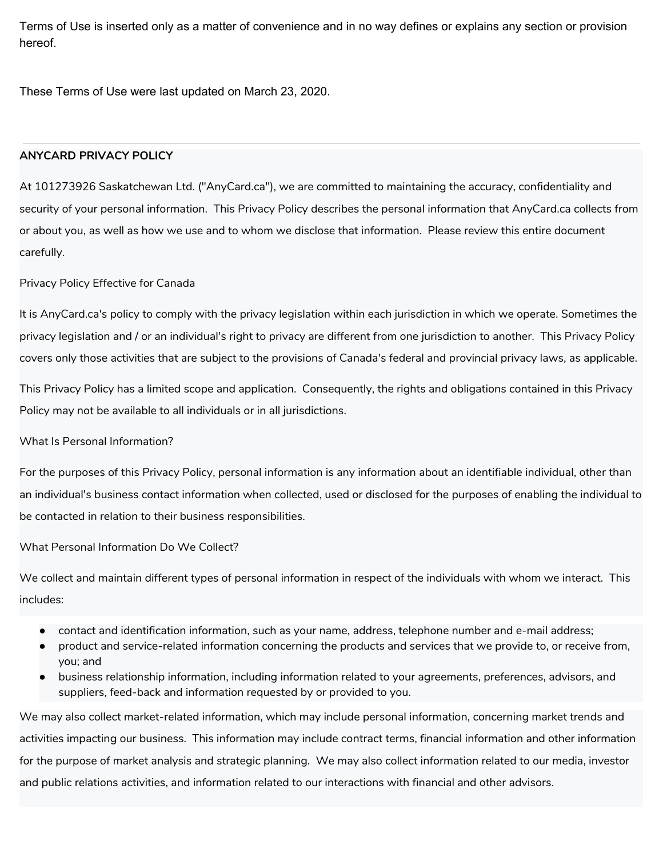Terms of Use is inserted only as a matter of convenience and in no way defines or explains any section or provision hereof.

These Terms of Use were last updated on March 23, 2020.

### **ANYCARD PRIVACY POLICY**

At 101273926 Saskatchewan Ltd. ("AnyCard.ca"), we are committed to maintaining the accuracy, confidentiality and security of your personal information. This Privacy Policy describes the personal information that AnyCard.ca collects from or about you, as well as how we use and to whom we disclose that information. Please review this entire document carefully.

Privacy Policy Effective for Canada

It is AnyCard.ca's policy to comply with the privacy legislation within each jurisdiction in which we operate. Sometimes the privacy legislation and / or an individual's right to privacy are different from one jurisdiction to another. This Privacy Policy covers only those activities that are subject to the provisions of Canada's federal and provincial privacy laws, as applicable.

This Privacy Policy has a limited scope and application. Consequently, the rights and obligations contained in this Privacy Policy may not be available to all individuals or in all jurisdictions.

### What Is Personal Information?

For the purposes of this Privacy Policy, personal information is any information about an identifiable individual, other than an individual's business contact information when collected, used or disclosed for the purposes of enabling the individual to be contacted in relation to their business responsibilities.

What Personal Information Do We Collect?

We collect and maintain different types of personal information in respect of the individuals with whom we interact. This includes:

- contact and identification information, such as your name, address, telephone number and e-mail address;
- product and service-related information concerning the products and services that we provide to, or receive from, you; and
- business relationship information, including information related to your agreements, preferences, advisors, and suppliers, feed-back and information requested by or provided to you.

We may also collect market-related information, which may include personal information, concerning market trends and activities impacting our business. This information may include contract terms, financial information and other information for the purpose of market analysis and strategic planning. We may also collect information related to our media, investor and public relations activities, and information related to our interactions with financial and other advisors.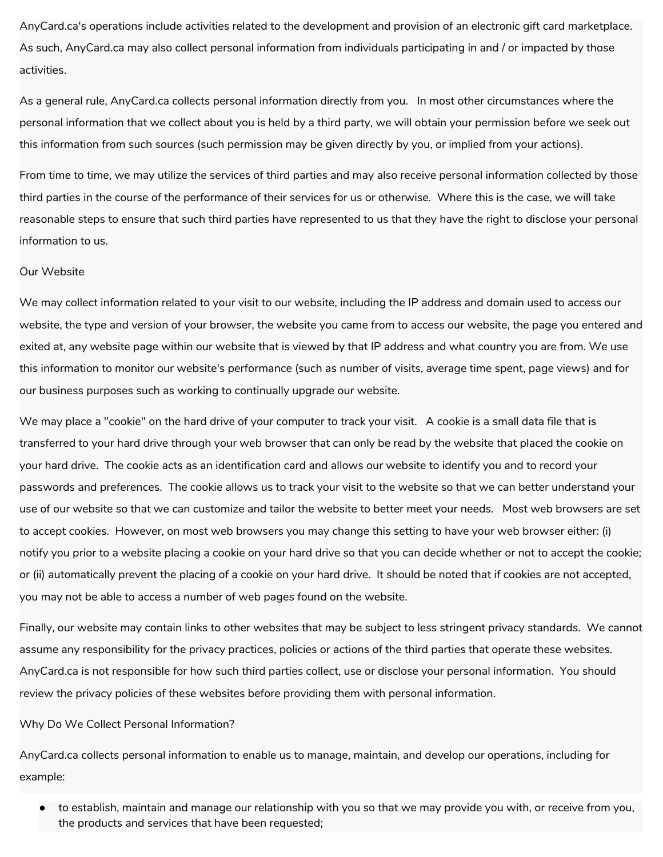AnyCard.ca's operations include activities related to the development and provision of an electronic gift card marketplace. As such, AnyCard.ca may also collect personal information from individuals participating in and / or impacted by those activities.

As a general rule, AnyCard.ca collects personal information directly from you. In most other circumstances where the personal information that we collect about you is held by a third party, we will obtain your permission before we seek out this information from such sources (such permission may be given directly by you, or implied from your actions).

From time to time, we may utilize the services of third parties and may also receive personal information collected by those third parties in the course of the performance of their services for us or otherwise. Where this is the case, we will take reasonable steps to ensure that such third parties have represented to us that they have the right to disclose your personal information to us.

#### Our Website

We may collect information related to your visit to our website, including the IP address and domain used to access our website, the type and version of your browser, the website you came from to access our website, the page you entered and exited at, any website page within our website that is viewed by that IP address and what country you are from. We use this information to monitor our website's performance (such as number of visits, average time spent, page views) and for our business purposes such as working to continually upgrade our website.

We may place a "cookie" on the hard drive of your computer to track your visit. A cookie is a small data file that is transferred to your hard drive through your web browser that can only be read by the website that placed the cookie on your hard drive. The cookie acts as an identification card and allows our website to identify you and to record your passwords and preferences. The cookie allows us to track your visit to the website so that we can better understand your use of our website so that we can customize and tailor the website to better meet your needs. Most web browsers are set to accept cookies. However, on most web browsers you may change this setting to have your web browser either: (i) notify you prior to a website placing a cookie on your hard drive so that you can decide whether or not to accept the cookie; or (ii) automatically prevent the placing of a cookie on your hard drive. It should be noted that if cookies are not accepted, you may not be able to access a number of web pages found on the website.

Finally, our website may contain links to other websites that may be subject to less stringent privacy standards. We cannot assume any responsibility for the privacy practices, policies or actions of the third parties that operate these websites. AnyCard.ca is not responsible for how such third parties collect, use or disclose your personal information. You should review the privacy policies of these websites before providing them with personal information.

#### Why Do We Collect Personal Information?

AnyCard.ca collects personal information to enable us to manage, maintain, and develop our operations, including for example:

to establish, maintain and manage our relationship with you so that we may provide you with, or receive from you, the products and services that have been requested;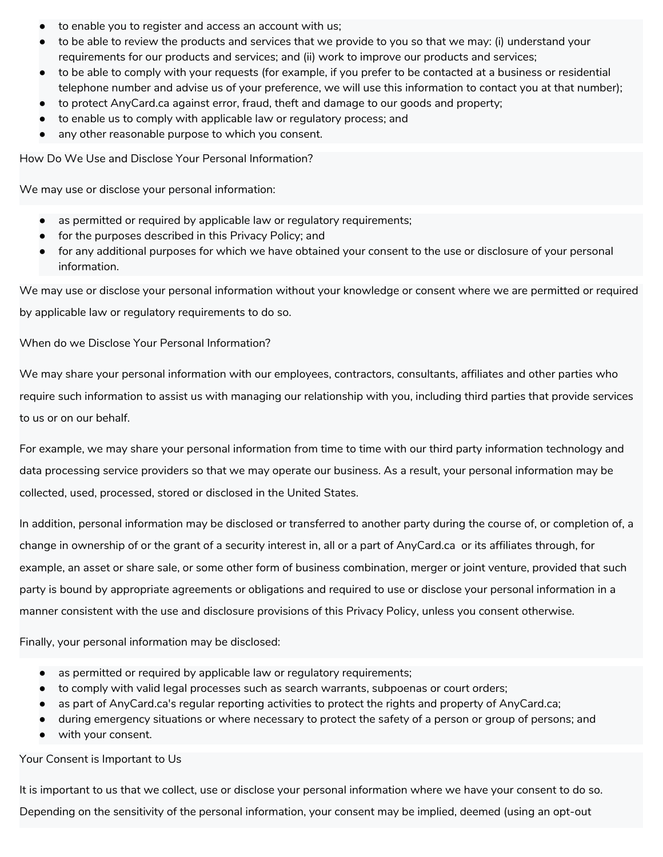- to enable you to register and access an account with us;
- to be able to review the products and services that we provide to you so that we may: (i) understand your requirements for our products and services; and (ii) work to improve our products and services;
- to be able to comply with your requests (for example, if you prefer to be contacted at a business or residential telephone number and advise us of your preference, we will use this information to contact you at that number);
- to protect AnyCard.ca against error, fraud, theft and damage to our goods and property;
- to enable us to comply with applicable law or regulatory process; and
- any other reasonable purpose to which you consent.

How Do We Use and Disclose Your Personal Information?

We may use or disclose your personal information:

- as permitted or required by applicable law or regulatory requirements;
- for the purposes described in this Privacy Policy; and
- for any additional purposes for which we have obtained your consent to the use or disclosure of your personal information.

We may use or disclose your personal information without your knowledge or consent where we are permitted or required by applicable law or regulatory requirements to do so.

When do we Disclose Your Personal Information?

We may share your personal information with our employees, contractors, consultants, affiliates and other parties who require such information to assist us with managing our relationship with you, including third parties that provide services to us or on our behalf.

For example, we may share your personal information from time to time with our third party information technology and data processing service providers so that we may operate our business. As a result, your personal information may be collected, used, processed, stored or disclosed in the United States.

In addition, personal information may be disclosed or transferred to another party during the course of, or completion of, a change in ownership of or the grant of a security interest in, all or a part of AnyCard.ca or its affiliates through, for example, an asset or share sale, or some other form of business combination, merger or joint venture, provided that such party is bound by appropriate agreements or obligations and required to use or disclose your personal information in a manner consistent with the use and disclosure provisions of this Privacy Policy, unless you consent otherwise.

Finally, your personal information may be disclosed:

- as permitted or required by applicable law or regulatory requirements;
- to comply with valid legal processes such as search warrants, subpoenas or court orders;
- as part of AnyCard.ca's regular reporting activities to protect the rights and property of AnyCard.ca;
- during emergency situations or where necessary to protect the safety of a person or group of persons; and
- with your consent.

Your Consent is Important to Us

It is important to us that we collect, use or disclose your personal information where we have your consent to do so. Depending on the sensitivity of the personal information, your consent may be implied, deemed (using an opt-out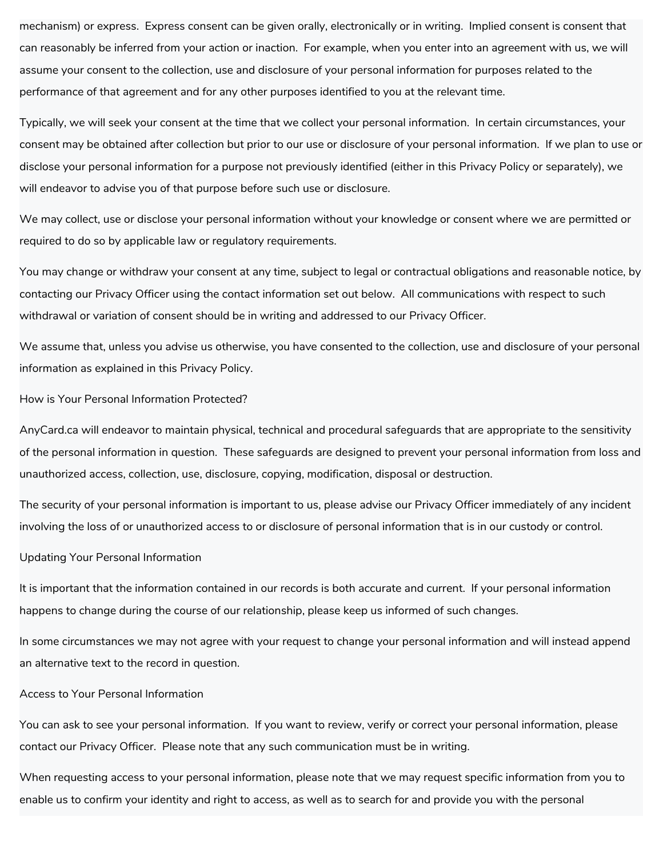mechanism) or express. Express consent can be given orally, electronically or in writing. Implied consent is consent that can reasonably be inferred from your action or inaction. For example, when you enter into an agreement with us, we will assume your consent to the collection, use and disclosure of your personal information for purposes related to the performance of that agreement and for any other purposes identified to you at the relevant time.

Typically, we will seek your consent at the time that we collect your personal information. In certain circumstances, your consent may be obtained after collection but prior to our use or disclosure of your personal information. If we plan to use or disclose your personal information for a purpose not previously identified (either in this Privacy Policy or separately), we will endeavor to advise you of that purpose before such use or disclosure.

We may collect, use or disclose your personal information without your knowledge or consent where we are permitted or required to do so by applicable law or regulatory requirements.

You may change or withdraw your consent at any time, subject to legal or contractual obligations and reasonable notice, by contacting our Privacy Officer using the contact information set out below. All communications with respect to such withdrawal or variation of consent should be in writing and addressed to our Privacy Officer.

We assume that, unless you advise us otherwise, you have consented to the collection, use and disclosure of your personal information as explained in this Privacy Policy.

#### How is Your Personal Information Protected?

AnyCard.ca will endeavor to maintain physical, technical and procedural safeguards that are appropriate to the sensitivity of the personal information in question. These safeguards are designed to prevent your personal information from loss and unauthorized access, collection, use, disclosure, copying, modification, disposal or destruction.

The security of your personal information is important to us, please advise our Privacy Officer immediately of any incident involving the loss of or unauthorized access to or disclosure of personal information that is in our custody or control.

#### Updating Your Personal Information

It is important that the information contained in our records is both accurate and current. If your personal information happens to change during the course of our relationship, please keep us informed of such changes.

In some circumstances we may not agree with your request to change your personal information and will instead append an alternative text to the record in question.

#### Access to Your Personal Information

You can ask to see your personal information. If you want to review, verify or correct your personal information, please contact our Privacy Officer. Please note that any such communication must be in writing.

When requesting access to your personal information, please note that we may request specific information from you to enable us to confirm your identity and right to access, as well as to search for and provide you with the personal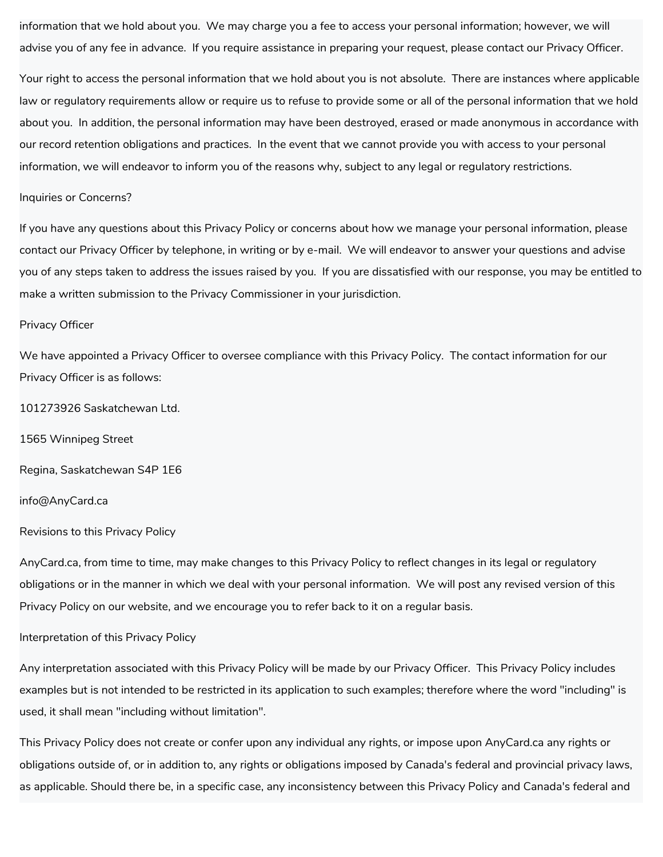information that we hold about you. We may charge you a fee to access your personal information; however, we will advise you of any fee in advance. If you require assistance in preparing your request, please contact our Privacy Officer.

Your right to access the personal information that we hold about you is not absolute. There are instances where applicable law or regulatory requirements allow or require us to refuse to provide some or all of the personal information that we hold about you. In addition, the personal information may have been destroyed, erased or made anonymous in accordance with our record retention obligations and practices. In the event that we cannot provide you with access to your personal information, we will endeavor to inform you of the reasons why, subject to any legal or regulatory restrictions.

#### Inquiries or Concerns?

If you have any questions about this Privacy Policy or concerns about how we manage your personal information, please contact our Privacy Officer by telephone, in writing or by e-mail. We will endeavor to answer your questions and advise you of any steps taken to address the issues raised by you. If you are dissatisfied with our response, you may be entitled to make a written submission to the Privacy Commissioner in your jurisdiction.

#### Privacy Officer

We have appointed a Privacy Officer to oversee compliance with this Privacy Policy. The contact information for our Privacy Officer is as follows:

101273926 Saskatchewan Ltd.

1565 Winnipeg Street

Regina, Saskatchewan S4P 1E6

#### info@AnyCard.ca

#### Revisions to this Privacy Policy

AnyCard.ca, from time to time, may make changes to this Privacy Policy to reflect changes in its legal or regulatory obligations or in the manner in which we deal with your personal information. We will post any revised version of this Privacy Policy on our website, and we encourage you to refer back to it on a regular basis.

#### Interpretation of this Privacy Policy

Any interpretation associated with this Privacy Policy will be made by our Privacy Officer. This Privacy Policy includes examples but is not intended to be restricted in its application to such examples; therefore where the word "including" is used, it shall mean "including without limitation".

This Privacy Policy does not create or confer upon any individual any rights, or impose upon AnyCard.ca any rights or obligations outside of, or in addition to, any rights or obligations imposed by Canada's federal and provincial privacy laws, as applicable. Should there be, in a specific case, any inconsistency between this Privacy Policy and Canada's federal and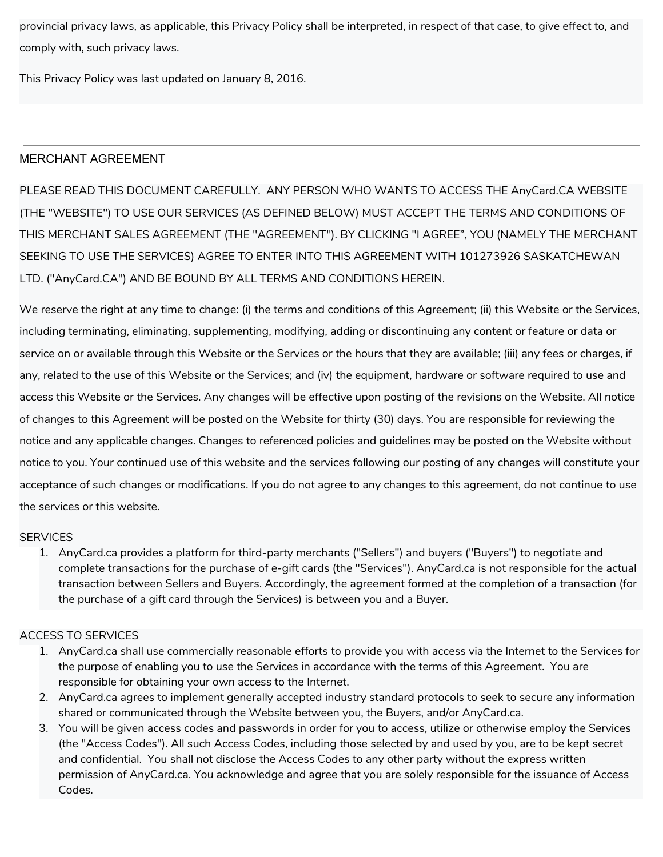provincial privacy laws, as applicable, this Privacy Policy shall be interpreted, in respect of that case, to give effect to, and comply with, such privacy laws.

This Privacy Policy was last updated on January 8, 2016.

## MERCHANT AGREEMENT

PLEASE READ THIS DOCUMENT CAREFULLY. ANY PERSON WHO WANTS TO ACCESS THE AnyCard.CA WEBSITE (THE "WEBSITE") TO USE OUR SERVICES (AS DEFINED BELOW) MUST ACCEPT THE TERMS AND CONDITIONS OF THIS MERCHANT SALES AGREEMENT (THE "AGREEMENT"). BY CLICKING "I AGREE", YOU (NAMELY THE MERCHANT SEEKING TO USE THE SERVICES) AGREE TO ENTER INTO THIS AGREEMENT WITH 101273926 SASKATCHEWAN LTD. ("AnyCard.CA") AND BE BOUND BY ALL TERMS AND CONDITIONS HEREIN.

We reserve the right at any time to change: (i) the terms and conditions of this Agreement; (ii) this Website or the Services, including terminating, eliminating, supplementing, modifying, adding or discontinuing any content or feature or data or service on or available through this Website or the Services or the hours that they are available; (iii) any fees or charges, if any, related to the use of this Website or the Services; and (iv) the equipment, hardware or software required to use and access this Website or the Services. Any changes will be effective upon posting of the revisions on the Website. All notice of changes to this Agreement will be posted on the Website for thirty (30) days. You are responsible for reviewing the notice and any applicable changes. Changes to referenced policies and guidelines may be posted on the Website without notice to you. Your continued use of this website and the services following our posting of any changes will constitute your acceptance of such changes or modifications. If you do not agree to any changes to this agreement, do not continue to use the services or this website.

### **SERVICES**

1. AnyCard.ca provides a platform for third-party merchants ("Sellers") and buyers ("Buyers") to negotiate and complete transactions for the purchase of e-gift cards (the "Services"). AnyCard.ca is not responsible for the actual transaction between Sellers and Buyers. Accordingly, the agreement formed at the completion of a transaction (for the purchase of a gift card through the Services) is between you and a Buyer.

### ACCESS TO SERVICES

- 1. AnyCard.ca shall use commercially reasonable efforts to provide you with access via the Internet to the Services for the purpose of enabling you to use the Services in accordance with the terms of this Agreement. You are responsible for obtaining your own access to the Internet.
- 2. AnyCard.ca agrees to implement generally accepted industry standard protocols to seek to secure any information shared or communicated through the Website between you, the Buyers, and/or AnyCard.ca.
- 3. You will be given access codes and passwords in order for you to access, utilize or otherwise employ the Services (the "Access Codes"). All such Access Codes, including those selected by and used by you, are to be kept secret and confidential. You shall not disclose the Access Codes to any other party without the express written permission of AnyCard.ca. You acknowledge and agree that you are solely responsible for the issuance of Access Codes.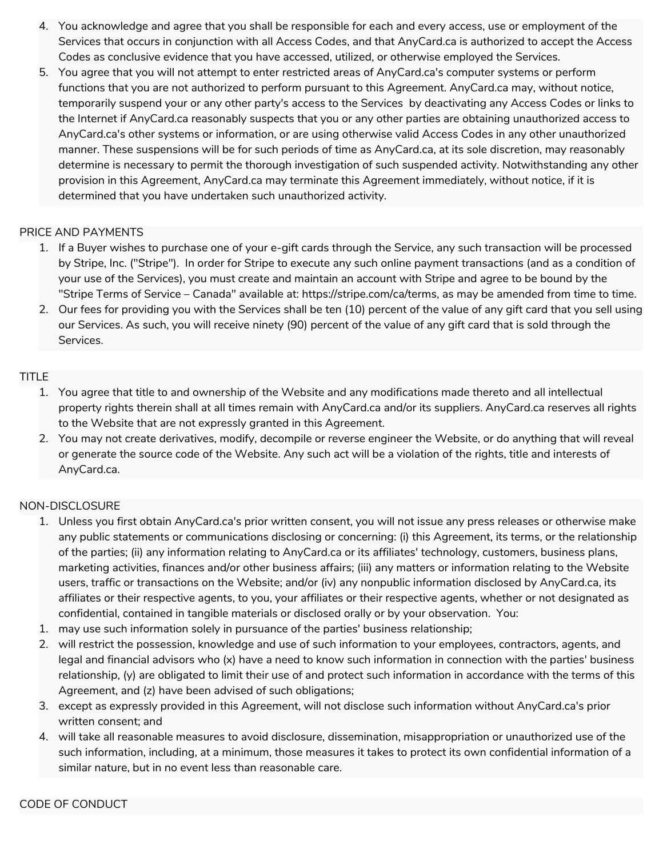- 4. You acknowledge and agree that you shall be responsible for each and every access, use or employment of the Services that occurs in conjunction with all Access Codes, and that AnyCard.ca is authorized to accept the Access Codes as conclusive evidence that you have accessed, utilized, or otherwise employed the Services.
- 5. You agree that you will not attempt to enter restricted areas of AnyCard.ca's computer systems or perform functions that you are not authorized to perform pursuant to this Agreement. AnyCard.ca may, without notice, temporarily suspend your or any other party's access to the Services by deactivating any Access Codes or links to the Internet if AnyCard.ca reasonably suspects that you or any other parties are obtaining unauthorized access to AnyCard.ca's other systems or information, or are using otherwise valid Access Codes in any other unauthorized manner. These suspensions will be for such periods of time as AnyCard.ca, at its sole discretion, may reasonably determine is necessary to permit the thorough investigation of such suspended activity. Notwithstanding any other provision in this Agreement, AnyCard.ca may terminate this Agreement immediately, without notice, if it is determined that you have undertaken such unauthorized activity.

### PRICE AND PAYMENTS

- 1. If a Buyer wishes to purchase one of your e-gift cards through the Service, any such transaction will be processed by Stripe, Inc. ("Stripe"). In order for Stripe to execute any such online payment transactions (and as a condition of your use of the Services), you must create and maintain an account with Stripe and agree to be bound by the "Stripe Terms of Service – Canada" available at: https://stripe.com/ca/terms, as may be amended from time to time.
- 2. Our fees for providing you with the Services shall be ten (10) percent of the value of any gift card that you sell using our Services. As such, you will receive ninety (90) percent of the value of any gift card that is sold through the Services.

## TITLE

- 1. You agree that title to and ownership of the Website and any modifications made thereto and all intellectual property rights therein shall at all times remain with AnyCard.ca and/or its suppliers. AnyCard.ca reserves all rights to the Website that are not expressly granted in this Agreement.
- 2. You may not create derivatives, modify, decompile or reverse engineer the Website, or do anything that will reveal or generate the source code of the Website. Any such act will be a violation of the rights, title and interests of AnyCard.ca.

# NON-DISCLOSURE

- 1. Unless you first obtain AnyCard.ca's prior written consent, you will not issue any press releases or otherwise make any public statements or communications disclosing or concerning: (i) this Agreement, its terms, or the relationship of the parties; (ii) any information relating to AnyCard.ca or its affiliates' technology, customers, business plans, marketing activities, finances and/or other business affairs; (iii) any matters or information relating to the Website users, traffic or transactions on the Website; and/or (iv) any nonpublic information disclosed by AnyCard.ca, its affiliates or their respective agents, to you, your affiliates or their respective agents, whether or not designated as confidential, contained in tangible materials or disclosed orally or by your observation. You:
- 1. may use such information solely in pursuance of the parties' business relationship;
- 2. will restrict the possession, knowledge and use of such information to your employees, contractors, agents, and legal and financial advisors who (x) have a need to know such information in connection with the parties' business relationship, (y) are obligated to limit their use of and protect such information in accordance with the terms of this Agreement, and (z) have been advised of such obligations;
- 3. except as expressly provided in this Agreement, will not disclose such information without AnyCard.ca's prior written consent; and
- 4. will take all reasonable measures to avoid disclosure, dissemination, misappropriation or unauthorized use of the such information, including, at a minimum, those measures it takes to protect its own confidential information of a similar nature, but in no event less than reasonable care.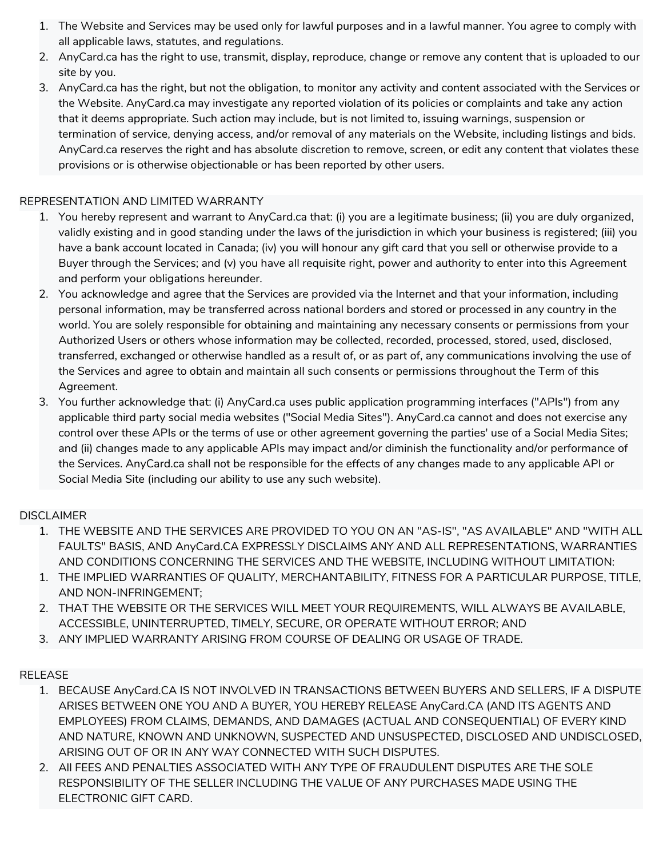- 1. The Website and Services may be used only for lawful purposes and in a lawful manner. You agree to comply with all applicable laws, statutes, and regulations.
- 2. AnyCard.ca has the right to use, transmit, display, reproduce, change or remove any content that is uploaded to our site by you.
- 3. AnyCard.ca has the right, but not the obligation, to monitor any activity and content associated with the Services or the Website. AnyCard.ca may investigate any reported violation of its policies or complaints and take any action that it deems appropriate. Such action may include, but is not limited to, issuing warnings, suspension or termination of service, denying access, and/or removal of any materials on the Website, including listings and bids. AnyCard.ca reserves the right and has absolute discretion to remove, screen, or edit any content that violates these provisions or is otherwise objectionable or has been reported by other users.

### REPRESENTATION AND LIMITED WARRANTY

- 1. You hereby represent and warrant to AnyCard.ca that: (i) you are a legitimate business; (ii) you are duly organized, validly existing and in good standing under the laws of the jurisdiction in which your business is registered; (iii) you have a bank account located in Canada; (iv) you will honour any gift card that you sell or otherwise provide to a Buyer through the Services; and (v) you have all requisite right, power and authority to enter into this Agreement and perform your obligations hereunder.
- 2. You acknowledge and agree that the Services are provided via the Internet and that your information, including personal information, may be transferred across national borders and stored or processed in any country in the world. You are solely responsible for obtaining and maintaining any necessary consents or permissions from your Authorized Users or others whose information may be collected, recorded, processed, stored, used, disclosed, transferred, exchanged or otherwise handled as a result of, or as part of, any communications involving the use of the Services and agree to obtain and maintain all such consents or permissions throughout the Term of this Agreement.
- 3. You further acknowledge that: (i) AnyCard.ca uses public application programming interfaces ("APIs") from any applicable third party social media websites ("Social Media Sites"). AnyCard.ca cannot and does not exercise any control over these APIs or the terms of use or other agreement governing the parties' use of a Social Media Sites; and (ii) changes made to any applicable APIs may impact and/or diminish the functionality and/or performance of the Services. AnyCard.ca shall not be responsible for the effects of any changes made to any applicable API or Social Media Site (including our ability to use any such website).

# **DISCLAIMER**

- 1. THE WEBSITE AND THE SERVICES ARE PROVIDED TO YOU ON AN "AS-IS", "AS AVAILABLE" AND "WITH ALL FAULTS" BASIS, AND AnyCard.CA EXPRESSLY DISCLAIMS ANY AND ALL REPRESENTATIONS, WARRANTIES AND CONDITIONS CONCERNING THE SERVICES AND THE WEBSITE, INCLUDING WITHOUT LIMITATION:
- 1. THE IMPLIED WARRANTIES OF QUALITY, MERCHANTABILITY, FITNESS FOR A PARTICULAR PURPOSE, TITLE, AND NON-INFRINGEMENT;
- 2. THAT THE WEBSITE OR THE SERVICES WILL MEET YOUR REQUIREMENTS, WILL ALWAYS BE AVAILABLE, ACCESSIBLE, UNINTERRUPTED, TIMELY, SECURE, OR OPERATE WITHOUT ERROR; AND
- 3. ANY IMPLIED WARRANTY ARISING FROM COURSE OF DEALING OR USAGE OF TRADE.

# RELEASE

- 1. BECAUSE AnyCard.CA IS NOT INVOLVED IN TRANSACTIONS BETWEEN BUYERS AND SELLERS, IF A DISPUTE ARISES BETWEEN ONE YOU AND A BUYER, YOU HEREBY RELEASE AnyCard.CA (AND ITS AGENTS AND EMPLOYEES) FROM CLAIMS, DEMANDS, AND DAMAGES (ACTUAL AND CONSEQUENTIAL) OF EVERY KIND AND NATURE, KNOWN AND UNKNOWN, SUSPECTED AND UNSUSPECTED, DISCLOSED AND UNDISCLOSED, ARISING OUT OF OR IN ANY WAY CONNECTED WITH SUCH DISPUTES.
- 2. All FEES AND PENALTIES ASSOCIATED WITH ANY TYPE OF FRAUDULENT DISPUTES ARE THE SOLE RESPONSIBILITY OF THE SELLER INCLUDING THE VALUE OF ANY PURCHASES MADE USING THE ELECTRONIC GIFT CARD.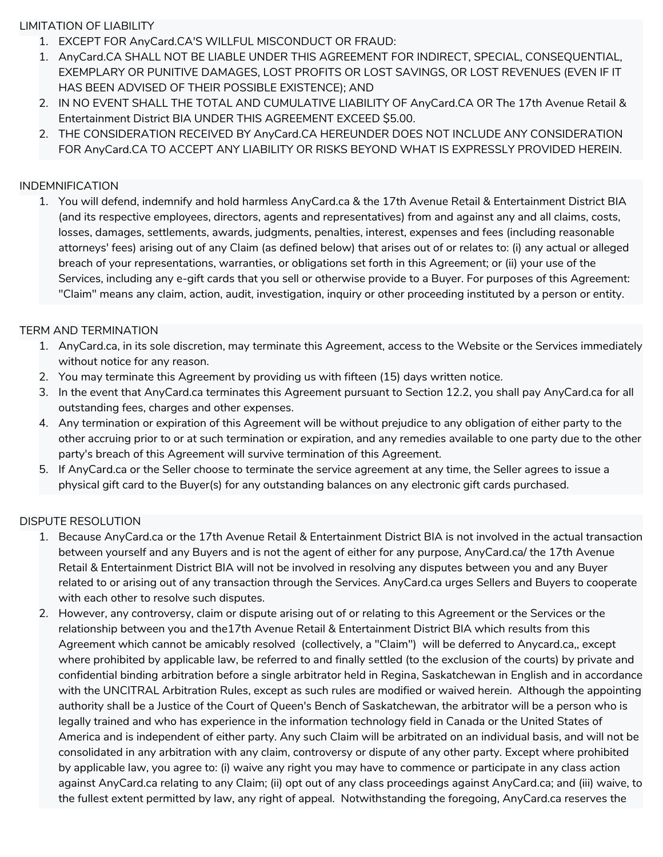### LIMITATION OF LIABILITY

- 1. EXCEPT FOR AnyCard.CA'S WILLFUL MISCONDUCT OR FRAUD:
- 1. AnyCard.CA SHALL NOT BE LIABLE UNDER THIS AGREEMENT FOR INDIRECT, SPECIAL, CONSEQUENTIAL, EXEMPLARY OR PUNITIVE DAMAGES, LOST PROFITS OR LOST SAVINGS, OR LOST REVENUES (EVEN IF IT HAS BEEN ADVISED OF THEIR POSSIBLE EXISTENCE); AND
- 2. IN NO EVENT SHALL THE TOTAL AND CUMULATIVE LIABILITY OF AnyCard.CA OR The 17th Avenue Retail & Entertainment District BIA UNDER THIS AGREEMENT EXCEED \$5.00.
- 2. THE CONSIDERATION RECEIVED BY AnyCard.CA HEREUNDER DOES NOT INCLUDE ANY CONSIDERATION FOR AnyCard.CA TO ACCEPT ANY LIABILITY OR RISKS BEYOND WHAT IS EXPRESSLY PROVIDED HEREIN.

## INDEMNIFICATION

1. You will defend, indemnify and hold harmless AnyCard.ca & the 17th Avenue Retail & Entertainment District BIA (and its respective employees, directors, agents and representatives) from and against any and all claims, costs, losses, damages, settlements, awards, judgments, penalties, interest, expenses and fees (including reasonable attorneys' fees) arising out of any Claim (as defined below) that arises out of or relates to: (i) any actual or alleged breach of your representations, warranties, or obligations set forth in this Agreement; or (ii) your use of the Services, including any e-gift cards that you sell or otherwise provide to a Buyer. For purposes of this Agreement: "Claim" means any claim, action, audit, investigation, inquiry or other proceeding instituted by a person or entity.

## TERM AND TERMINATION

- 1. AnyCard.ca, in its sole discretion, may terminate this Agreement, access to the Website or the Services immediately without notice for any reason.
- 2. You may terminate this Agreement by providing us with fifteen (15) days written notice.
- 3. In the event that AnyCard.ca terminates this Agreement pursuant to Section 12.2, you shall pay AnyCard.ca for all outstanding fees, charges and other expenses.
- 4. Any termination or expiration of this Agreement will be without prejudice to any obligation of either party to the other accruing prior to or at such termination or expiration, and any remedies available to one party due to the other party's breach of this Agreement will survive termination of this Agreement.
- 5. If AnyCard.ca or the Seller choose to terminate the service agreement at any time, the Seller agrees to issue a physical gift card to the Buyer(s) for any outstanding balances on any electronic gift cards purchased.

# DISPUTE RESOLUTION

- 1. Because AnyCard.ca or the 17th Avenue Retail & Entertainment District BIA is not involved in the actual transaction between yourself and any Buyers and is not the agent of either for any purpose, AnyCard.ca/ the 17th Avenue Retail & Entertainment District BIA will not be involved in resolving any disputes between you and any Buyer related to or arising out of any transaction through the Services. AnyCard.ca urges Sellers and Buyers to cooperate with each other to resolve such disputes.
- 2. However, any controversy, claim or dispute arising out of or relating to this Agreement or the Services or the relationship between you and the17th Avenue Retail & Entertainment District BIA which results from this Agreement which cannot be amicably resolved (collectively, a "Claim") will be deferred to Anycard.ca,, except where prohibited by applicable law, be referred to and finally settled (to the exclusion of the courts) by private and confidential binding arbitration before a single arbitrator held in Regina, Saskatchewan in English and in accordance with the UNCITRAL Arbitration Rules, except as such rules are modified or waived herein. Although the appointing authority shall be a Justice of the Court of Queen's Bench of Saskatchewan, the arbitrator will be a person who is legally trained and who has experience in the information technology field in Canada or the United States of America and is independent of either party. Any such Claim will be arbitrated on an individual basis, and will not be consolidated in any arbitration with any claim, controversy or dispute of any other party. Except where prohibited by applicable law, you agree to: (i) waive any right you may have to commence or participate in any class action against AnyCard.ca relating to any Claim; (ii) opt out of any class proceedings against AnyCard.ca; and (iii) waive, to the fullest extent permitted by law, any right of appeal. Notwithstanding the foregoing, AnyCard.ca reserves the